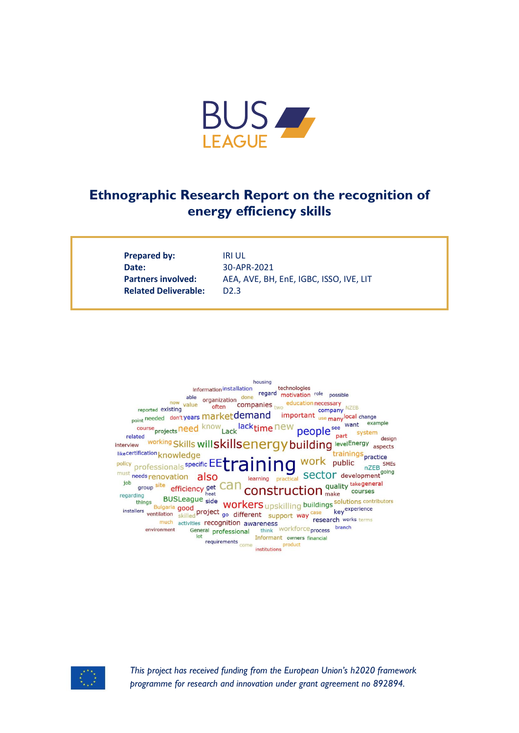

# **Ethnographic Research Report on the recognition of energy efficiency skills**

**Prepared by:** IRI UL **Date:** 30-APR-2021 **Related Deliverable:** D2.3

Partners involved: AEA, AVE, BH, EnE, IGBC, ISSO, IVE, LIT





*This project has received funding from the European Union's h2020 framework programme for research and innovation under grant agreement no 892894.*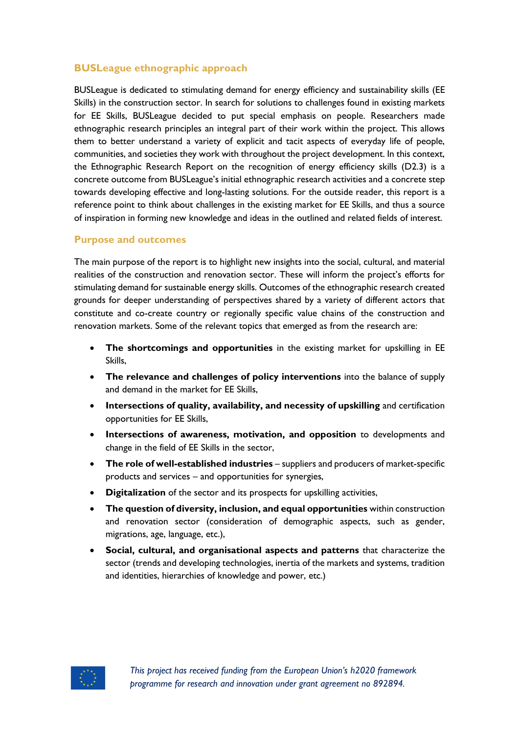#### **BUSLeague ethnographic approach**

BUSLeague is dedicated to stimulating demand for energy efficiency and sustainability skills (EE Skills) in the construction sector. In search for solutions to challenges found in existing markets for EE Skills, BUSLeague decided to put special emphasis on people. Researchers made ethnographic research principles an integral part of their work within the project. This allows them to better understand a variety of explicit and tacit aspects of everyday life of people, communities, and societies they work with throughout the project development. In this context, the Ethnographic Research Report on the recognition of energy efficiency skills (D2.3) is a concrete outcome from BUSLeague's initial ethnographic research activities and a concrete step towards developing effective and long-lasting solutions. For the outside reader, this report is a reference point to think about challenges in the existing market for EE Skills, and thus a source of inspiration in forming new knowledge and ideas in the outlined and related fields of interest.

#### **Purpose and outcomes**

The main purpose of the report is to highlight new insights into the social, cultural, and material realities of the construction and renovation sector. These will inform the project's efforts for stimulating demand for sustainable energy skills. Outcomes of the ethnographic research created grounds for deeper understanding of perspectives shared by a variety of different actors that constitute and co-create country or regionally specific value chains of the construction and renovation markets. Some of the relevant topics that emerged as from the research are:

- **The shortcomings and opportunities** in the existing market for upskilling in EE Skills,
- **The relevance and challenges of policy interventions** into the balance of supply and demand in the market for EE Skills,
- **Intersections of quality, availability, and necessity of upskilling** and certification opportunities for EE Skills,
- **Intersections of awareness, motivation, and opposition** to developments and change in the field of EE Skills in the sector,
- **The role of well-established industries** suppliers and producers of market-specific products and services – and opportunities for synergies,
- **Digitalization** of the sector and its prospects for upskilling activities,
- **The question of diversity, inclusion, and equal opportunities** within construction and renovation sector (consideration of demographic aspects, such as gender, migrations, age, language, etc.),
- **Social, cultural, and organisational aspects and patterns** that characterize the sector (trends and developing technologies, inertia of the markets and systems, tradition and identities, hierarchies of knowledge and power, etc.)

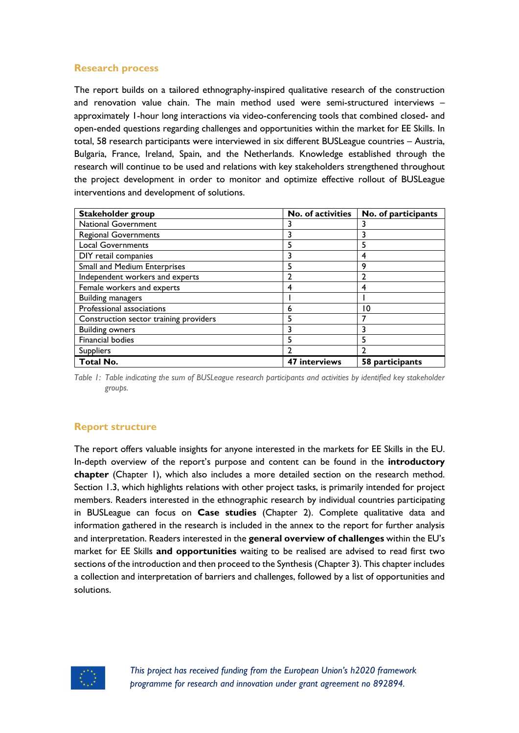## **Research process**

The report builds on a tailored ethnography-inspired qualitative research of the construction and renovation value chain. The main method used were semi-structured interviews – approximately 1-hour long interactions via video-conferencing tools that combined closed- and open-ended questions regarding challenges and opportunities within the market for EE Skills. In total, 58 research participants were interviewed in six different BUSLeague countries – Austria, Bulgaria, France, Ireland, Spain, and the Netherlands. Knowledge established through the research will continue to be used and relations with key stakeholders strengthened throughout the project development in order to monitor and optimize effective rollout of BUSLeague interventions and development of solutions.

| Stakeholder group                      | No. of activities | No. of participants |
|----------------------------------------|-------------------|---------------------|
| <b>National Government</b>             |                   | 3                   |
| <b>Regional Governments</b>            | 3                 | 3                   |
| <b>Local Governments</b>               |                   | 5                   |
| DIY retail companies                   |                   | 4                   |
| Small and Medium Enterprises           |                   | 9                   |
| Independent workers and experts        |                   | $\overline{2}$      |
| Female workers and experts             | 4                 | 4                   |
| <b>Building managers</b>               |                   |                     |
| Professional associations              | 6                 | 10                  |
| Construction sector training providers | 5                 |                     |
| <b>Building owners</b>                 |                   | 3                   |
| Financial bodies                       | 5                 | 5                   |
| <b>Suppliers</b>                       |                   | າ                   |
| Total No.                              | 47 interviews     | 58 participants     |

*Table 1: Table indicating the sum of BUSLeague research participants and activities by identified key stakeholder groups.*

## **Report structure**

The report offers valuable insights for anyone interested in the markets for EE Skills in the EU. In-depth overview of the report's purpose and content can be found in the **introductory chapter** (Chapter 1), which also includes a more detailed section on the research method. Section 1.3, which highlights relations with other project tasks, is primarily intended for project members. Readers interested in the ethnographic research by individual countries participating in BUSLeague can focus on **Case studies** (Chapter 2). Complete qualitative data and information gathered in the research is included in the annex to the report for further analysis and interpretation. Readers interested in the **general overview of challenges** within the EU's market for EE Skills **and opportunities** waiting to be realised are advised to read first two sections of the introduction and then proceed to the Synthesis (Chapter 3). This chapter includes a collection and interpretation of barriers and challenges, followed by a list of opportunities and solutions.